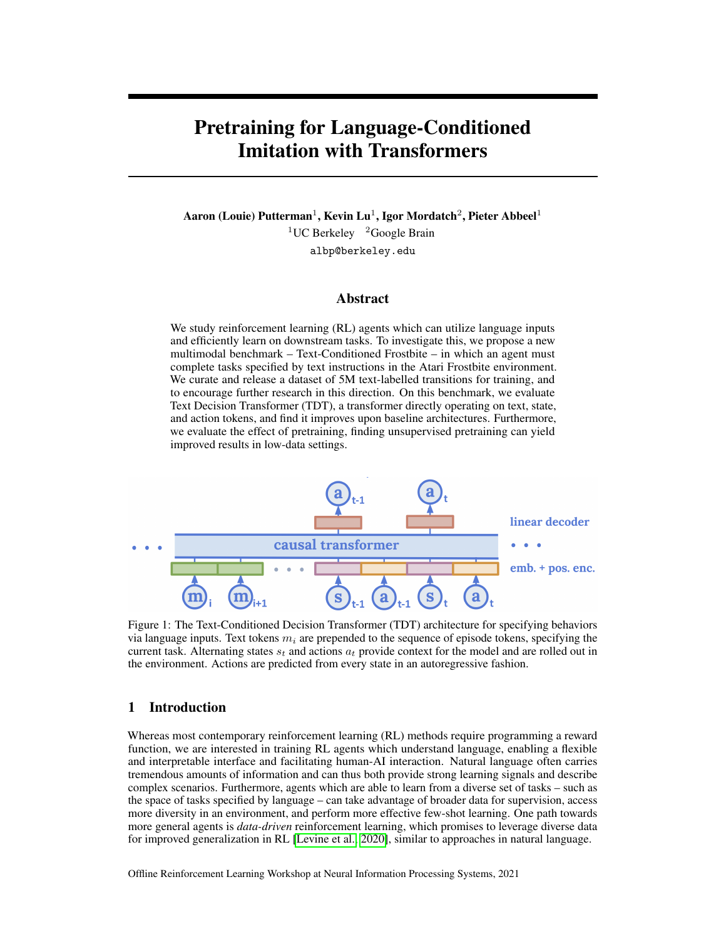# Pretraining for Language-Conditioned Imitation with Transformers

Aaron (Louie) Putterman $^1$ , Kevin Lu $^1$ , Igor Mordatch $^2$ , Pieter Abbeel $^1$  $1$ UC Berkeley  $2$ Google Brain albp@berkeley.edu

# Abstract

We study reinforcement learning (RL) agents which can utilize language inputs and efficiently learn on downstream tasks. To investigate this, we propose a new multimodal benchmark – Text-Conditioned Frostbite – in which an agent must complete tasks specified by text instructions in the Atari Frostbite environment. We curate and release a dataset of 5M text-labelled transitions for training, and to encourage further research in this direction. On this benchmark, we evaluate Text Decision Transformer (TDT), a transformer directly operating on text, state, and action tokens, and find it improves upon baseline architectures. Furthermore, we evaluate the effect of pretraining, finding unsupervised pretraining can yield improved results in low-data settings.

<span id="page-0-0"></span>

Figure 1: The Text-Conditioned Decision Transformer (TDT) architecture for specifying behaviors via language inputs. Text tokens  $m_i$  are prepended to the sequence of episode tokens, specifying the current task. Alternating states  $s_t$  and actions  $a_t$  provide context for the model and are rolled out in the environment. Actions are predicted from every state in an autoregressive fashion.

# 1 Introduction

Whereas most contemporary reinforcement learning (RL) methods require programming a reward function, we are interested in training RL agents which understand language, enabling a flexible and interpretable interface and facilitating human-AI interaction. Natural language often carries tremendous amounts of information and can thus both provide strong learning signals and describe complex scenarios. Furthermore, agents which are able to learn from a diverse set of tasks – such as the space of tasks specified by language – can take advantage of broader data for supervision, access more diversity in an environment, and perform more effective few-shot learning. One path towards more general agents is *data-driven* reinforcement learning, which promises to leverage diverse data for improved generalization in RL [\[Levine et al., 2020\]](#page-9-0), similar to approaches in natural language.

Offline Reinforcement Learning Workshop at Neural Information Processing Systems, 2021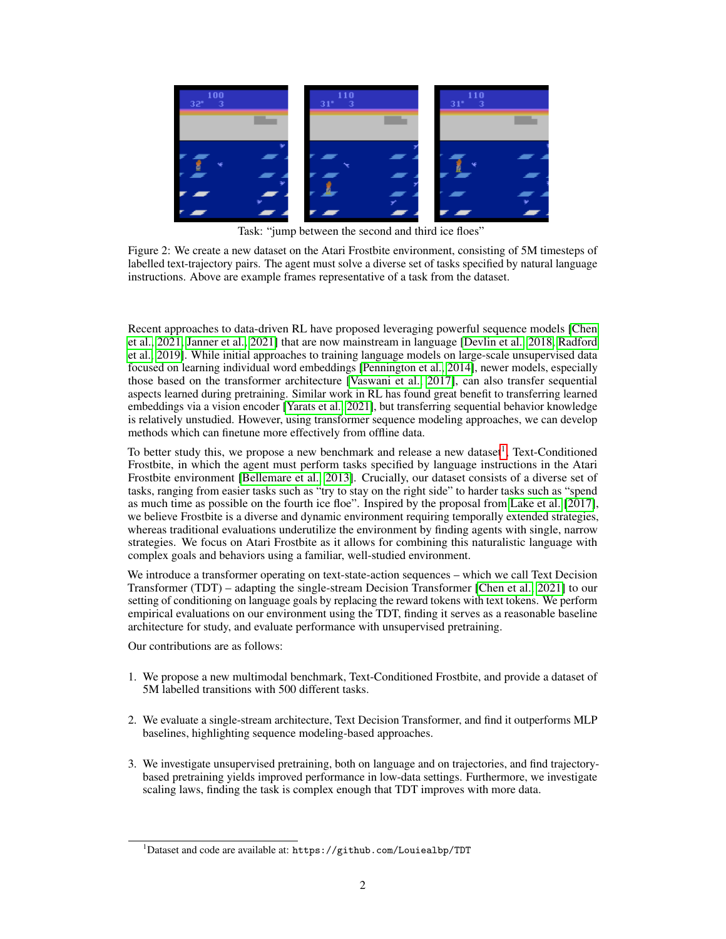

Task: "jump between the second and third ice floes"

Figure 2: We create a new dataset on the Atari Frostbite environment, consisting of 5M timesteps of labelled text-trajectory pairs. The agent must solve a diverse set of tasks specified by natural language instructions. Above are example frames representative of a task from the dataset.

Recent approaches to data-driven RL have proposed leveraging powerful sequence models [\[Chen](#page-9-1) [et al., 2021,](#page-9-1) [Janner et al., 2021\]](#page-9-2) that are now mainstream in language [\[Devlin et al., 2018,](#page-9-3) [Radford](#page-9-4) [et al., 2019\]](#page-9-4). While initial approaches to training language models on large-scale unsupervised data focused on learning individual word embeddings [\[Pennington et al., 2014\]](#page-9-5), newer models, especially those based on the transformer architecture [\[Vaswani et al., 2017\]](#page-9-6), can also transfer sequential aspects learned during pretraining. Similar work in RL has found great benefit to transferring learned embeddings via a vision encoder [\[Yarats et al., 2021\]](#page-9-7), but transferring sequential behavior knowledge is relatively unstudied. However, using transformer sequence modeling approaches, we can develop methods which can finetune more effectively from offline data.

To better study this, we propose a new benchmark and release a new dataset<sup>[1](#page-1-0)</sup>, Text-Conditioned Frostbite, in which the agent must perform tasks specified by language instructions in the Atari Frostbite environment [\[Bellemare et al., 2013\]](#page-9-8). Crucially, our dataset consists of a diverse set of tasks, ranging from easier tasks such as "try to stay on the right side" to harder tasks such as "spend as much time as possible on the fourth ice floe". Inspired by the proposal from [Lake et al.](#page-9-9) [\[2017\]](#page-9-9), we believe Frostbite is a diverse and dynamic environment requiring temporally extended strategies, whereas traditional evaluations underutilize the environment by finding agents with single, narrow strategies. We focus on Atari Frostbite as it allows for combining this naturalistic language with complex goals and behaviors using a familiar, well-studied environment.

We introduce a transformer operating on text-state-action sequences – which we call Text Decision Transformer (TDT) – adapting the single-stream Decision Transformer [\[Chen et al., 2021\]](#page-9-1) to our setting of conditioning on language goals by replacing the reward tokens with text tokens. We perform empirical evaluations on our environment using the TDT, finding it serves as a reasonable baseline architecture for study, and evaluate performance with unsupervised pretraining.

Our contributions are as follows:

- 1. We propose a new multimodal benchmark, Text-Conditioned Frostbite, and provide a dataset of 5M labelled transitions with 500 different tasks.
- 2. We evaluate a single-stream architecture, Text Decision Transformer, and find it outperforms MLP baselines, highlighting sequence modeling-based approaches.
- 3. We investigate unsupervised pretraining, both on language and on trajectories, and find trajectorybased pretraining yields improved performance in low-data settings. Furthermore, we investigate scaling laws, finding the task is complex enough that TDT improves with more data.

<span id="page-1-0"></span> $1$ Dataset and code are available at: https://github.com/Louiealbp/TDT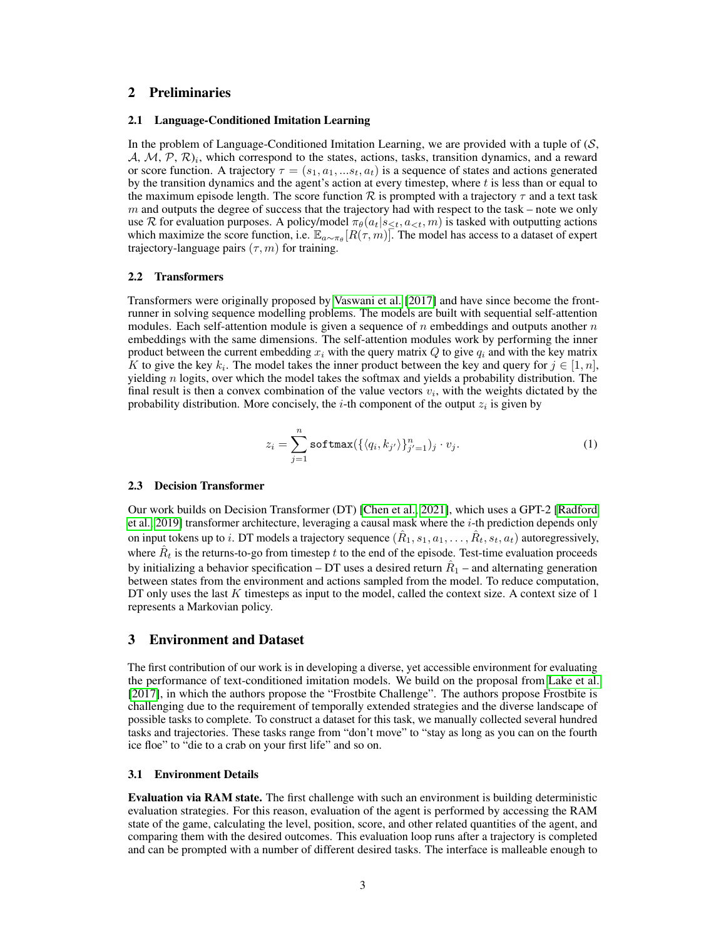# 2 Preliminaries

#### 2.1 Language-Conditioned Imitation Learning

In the problem of Language-Conditioned Imitation Learning, we are provided with a tuple of  $(S, \mathcal{S})$  $(A, M, P, R)_i$ , which correspond to the states, actions, tasks, transition dynamics, and a reward or score function. A trajectory  $\tau = (s_1, a_1, ... s_t, a_t)$  is a sequence of states and actions generated by the transition dynamics and the agent's action at every timestep, where  $t$  is less than or equal to the maximum episode length. The score function  $\mathcal R$  is prompted with a trajectory  $\tau$  and a text task  $m$  and outputs the degree of success that the trajectory had with respect to the task – note we only use R for evaluation purposes. A policy/model  $\pi_{\theta}(a_t|s_{\leq t}, a_{\leq t}, m)$  is tasked with outputting actions which maximize the score function, i.e.  $\mathbb{E}_{a \sim \pi_\theta}[R(\tau,m)]$ . The model has access to a dataset of expert trajectory-language pairs  $(\tau, m)$  for training.

#### 2.2 Transformers

Transformers were originally proposed by [Vaswani et al.](#page-9-6) [\[2017\]](#page-9-6) and have since become the frontrunner in solving sequence modelling problems. The models are built with sequential self-attention modules. Each self-attention module is given a sequence of  $n$  embeddings and outputs another  $n$ embeddings with the same dimensions. The self-attention modules work by performing the inner product between the current embedding  $x_i$  with the query matrix  $Q$  to give  $q_i$  and with the key matrix K to give the key  $k_i$ . The model takes the inner product between the key and query for  $j \in [1, n]$ , yielding  $n$  logits, over which the model takes the softmax and yields a probability distribution. The final result is then a convex combination of the value vectors  $v_i$ , with the weights dictated by the probability distribution. More concisely, the *i*-th component of the output  $z_i$  is given by

$$
z_i = \sum_{j=1}^n \text{softmax}(\{\langle q_i, k_{j'} \rangle\}_{j'=1}^n)_j \cdot v_j. \tag{1}
$$

#### 2.3 Decision Transformer

Our work builds on Decision Transformer (DT) [\[Chen et al., 2021\]](#page-9-1), which uses a GPT-2 [\[Radford](#page-9-4) [et al., 2019\]](#page-9-4) transformer architecture, leveraging a causal mask where the  $i$ -th prediction depends only on input tokens up to i. DT models a trajectory sequence  $(\hat{R}_1, s_1, a_1, \ldots, \hat{R}_t, s_t, a_t)$  autoregressively, where  $\hat{R}_t$  is the returns-to-go from timestep  $t$  to the end of the episode. Test-time evaluation proceeds by initializing a behavior specification – DT uses a desired return  $\hat{R}_1$  – and alternating generation between states from the environment and actions sampled from the model. To reduce computation, DT only uses the last  $K$  timesteps as input to the model, called the context size. A context size of 1 represents a Markovian policy.

#### 3 Environment and Dataset

The first contribution of our work is in developing a diverse, yet accessible environment for evaluating the performance of text-conditioned imitation models. We build on the proposal from [Lake et al.](#page-9-9)  $[2017]$ , in which the authors propose the "Frostbite Challenge". The authors propose Frostbite is challenging due to the requirement of temporally extended strategies and the diverse landscape of possible tasks to complete. To construct a dataset for this task, we manually collected several hundred tasks and trajectories. These tasks range from "don't move" to "stay as long as you can on the fourth ice floe" to "die to a crab on your first life" and so on.

#### 3.1 Environment Details

Evaluation via RAM state. The first challenge with such an environment is building deterministic evaluation strategies. For this reason, evaluation of the agent is performed by accessing the RAM state of the game, calculating the level, position, score, and other related quantities of the agent, and comparing them with the desired outcomes. This evaluation loop runs after a trajectory is completed and can be prompted with a number of different desired tasks. The interface is malleable enough to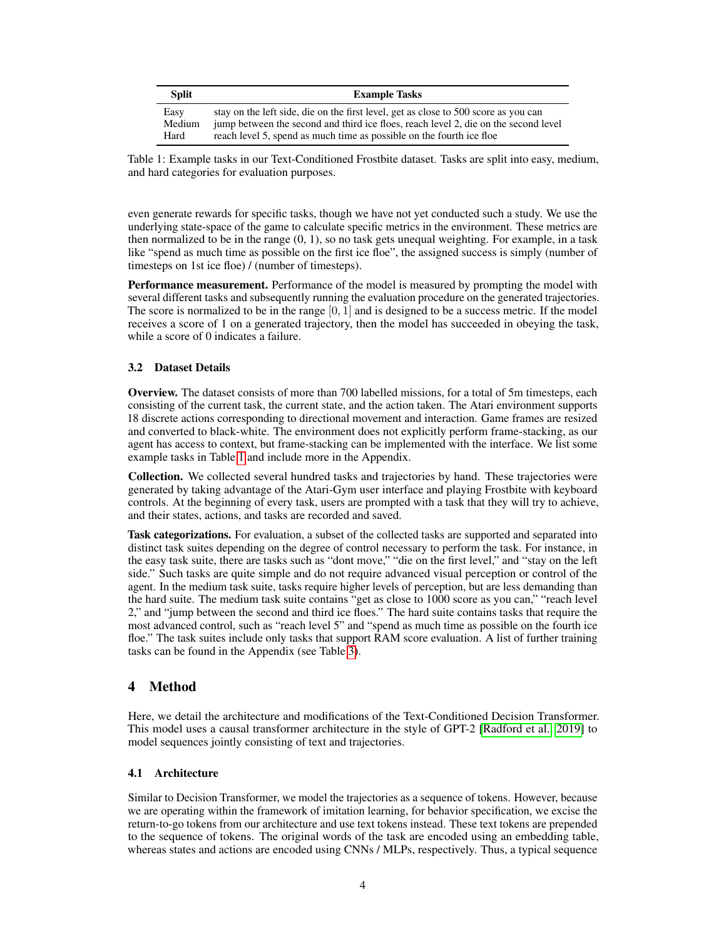<span id="page-3-0"></span>

| Split  | <b>Example Tasks</b>                                                                |
|--------|-------------------------------------------------------------------------------------|
| Easy   | stay on the left side, die on the first level, get as close to 500 score as you can |
| Medium | jump between the second and third ice floes, reach level 2, die on the second level |
| Hard   | reach level 5, spend as much time as possible on the fourth ice floe                |

Table 1: Example tasks in our Text-Conditioned Frostbite dataset. Tasks are split into easy, medium, and hard categories for evaluation purposes.

even generate rewards for specific tasks, though we have not yet conducted such a study. We use the underlying state-space of the game to calculate specific metrics in the environment. These metrics are then normalized to be in the range  $(0, 1)$ , so no task gets unequal weighting. For example, in a task like "spend as much time as possible on the first ice floe", the assigned success is simply (number of timesteps on 1st ice floe) / (number of timesteps).

**Performance measurement.** Performance of the model is measured by prompting the model with several different tasks and subsequently running the evaluation procedure on the generated trajectories. The score is normalized to be in the range  $[0, 1]$  and is designed to be a success metric. If the model receives a score of 1 on a generated trajectory, then the model has succeeded in obeying the task, while a score of 0 indicates a failure.

# 3.2 Dataset Details

Overview. The dataset consists of more than 700 labelled missions, for a total of 5m timesteps, each consisting of the current task, the current state, and the action taken. The Atari environment supports 18 discrete actions corresponding to directional movement and interaction. Game frames are resized and converted to black-white. The environment does not explicitly perform frame-stacking, as our agent has access to context, but frame-stacking can be implemented with the interface. We list some example tasks in Table [1](#page-3-0) and include more in the Appendix.

Collection. We collected several hundred tasks and trajectories by hand. These trajectories were generated by taking advantage of the Atari-Gym user interface and playing Frostbite with keyboard controls. At the beginning of every task, users are prompted with a task that they will try to achieve, and their states, actions, and tasks are recorded and saved.

Task categorizations. For evaluation, a subset of the collected tasks are supported and separated into distinct task suites depending on the degree of control necessary to perform the task. For instance, in the easy task suite, there are tasks such as "dont move," "die on the first level," and "stay on the left side." Such tasks are quite simple and do not require advanced visual perception or control of the agent. In the medium task suite, tasks require higher levels of perception, but are less demanding than the hard suite. The medium task suite contains "get as close to 1000 score as you can," "reach level 2," and "jump between the second and third ice floes." The hard suite contains tasks that require the most advanced control, such as "reach level 5" and "spend as much time as possible on the fourth ice floe." The task suites include only tasks that support RAM score evaluation. A list of further training tasks can be found in the Appendix (see Table [3\)](#page-11-0).

# 4 Method

Here, we detail the architecture and modifications of the Text-Conditioned Decision Transformer. This model uses a causal transformer architecture in the style of GPT-2 [\[Radford et al., 2019\]](#page-9-4) to model sequences jointly consisting of text and trajectories.

## 4.1 Architecture

Similar to Decision Transformer, we model the trajectories as a sequence of tokens. However, because we are operating within the framework of imitation learning, for behavior specification, we excise the return-to-go tokens from our architecture and use text tokens instead. These text tokens are prepended to the sequence of tokens. The original words of the task are encoded using an embedding table, whereas states and actions are encoded using CNNs / MLPs, respectively. Thus, a typical sequence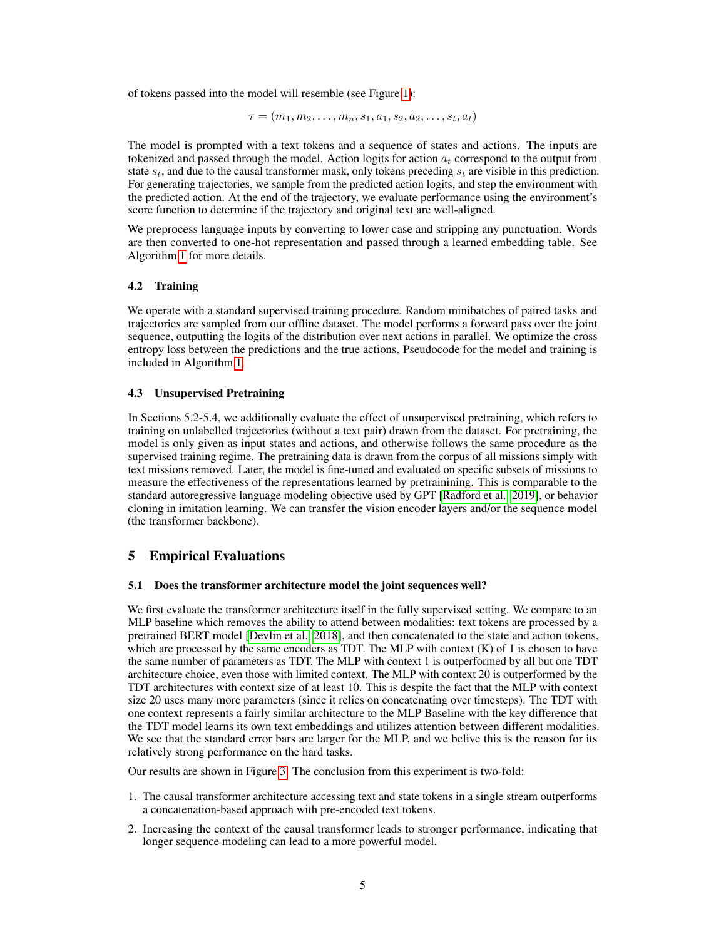of tokens passed into the model will resemble (see Figure [1\)](#page-0-0):

$$
\tau = (m_1, m_2, \ldots, m_n, s_1, a_1, s_2, a_2, \ldots, s_t, a_t)
$$

The model is prompted with a text tokens and a sequence of states and actions. The inputs are tokenized and passed through the model. Action logits for action  $a_t$  correspond to the output from state  $s_t$ , and due to the causal transformer mask, only tokens preceding  $s_t$  are visible in this prediction. For generating trajectories, we sample from the predicted action logits, and step the environment with the predicted action. At the end of the trajectory, we evaluate performance using the environment's score function to determine if the trajectory and original text are well-aligned.

We preprocess language inputs by converting to lower case and stripping any punctuation. Words are then converted to one-hot representation and passed through a learned embedding table. See Algorithm [1](#page-13-0) for more details.

## 4.2 Training

We operate with a standard supervised training procedure. Random minibatches of paired tasks and trajectories are sampled from our offline dataset. The model performs a forward pass over the joint sequence, outputting the logits of the distribution over next actions in parallel. We optimize the cross entropy loss between the predictions and the true actions. Pseudocode for the model and training is included in Algorithm [1.](#page-13-0)

#### 4.3 Unsupervised Pretraining

In Sections 5.2-5.4, we additionally evaluate the effect of unsupervised pretraining, which refers to training on unlabelled trajectories (without a text pair) drawn from the dataset. For pretraining, the model is only given as input states and actions, and otherwise follows the same procedure as the supervised training regime. The pretraining data is drawn from the corpus of all missions simply with text missions removed. Later, the model is fine-tuned and evaluated on specific subsets of missions to measure the effectiveness of the representations learned by pretrainining. This is comparable to the standard autoregressive language modeling objective used by GPT [\[Radford et al., 2019\]](#page-9-4), or behavior cloning in imitation learning. We can transfer the vision encoder layers and/or the sequence model (the transformer backbone).

# 5 Empirical Evaluations

### 5.1 Does the transformer architecture model the joint sequences well?

We first evaluate the transformer architecture itself in the fully supervised setting. We compare to an MLP baseline which removes the ability to attend between modalities: text tokens are processed by a pretrained BERT model [\[Devlin et al., 2018\]](#page-9-3), and then concatenated to the state and action tokens, which are processed by the same encoders as TDT. The MLP with context  $(K)$  of 1 is chosen to have the same number of parameters as TDT. The MLP with context 1 is outperformed by all but one TDT architecture choice, even those with limited context. The MLP with context 20 is outperformed by the TDT architectures with context size of at least 10. This is despite the fact that the MLP with context size 20 uses many more parameters (since it relies on concatenating over timesteps). The TDT with one context represents a fairly similar architecture to the MLP Baseline with the key difference that the TDT model learns its own text embeddings and utilizes attention between different modalities. We see that the standard error bars are larger for the MLP, and we belive this is the reason for its relatively strong performance on the hard tasks.

Our results are shown in Figure [3.](#page-5-0) The conclusion from this experiment is two-fold:

- 1. The causal transformer architecture accessing text and state tokens in a single stream outperforms a concatenation-based approach with pre-encoded text tokens.
- 2. Increasing the context of the causal transformer leads to stronger performance, indicating that longer sequence modeling can lead to a more powerful model.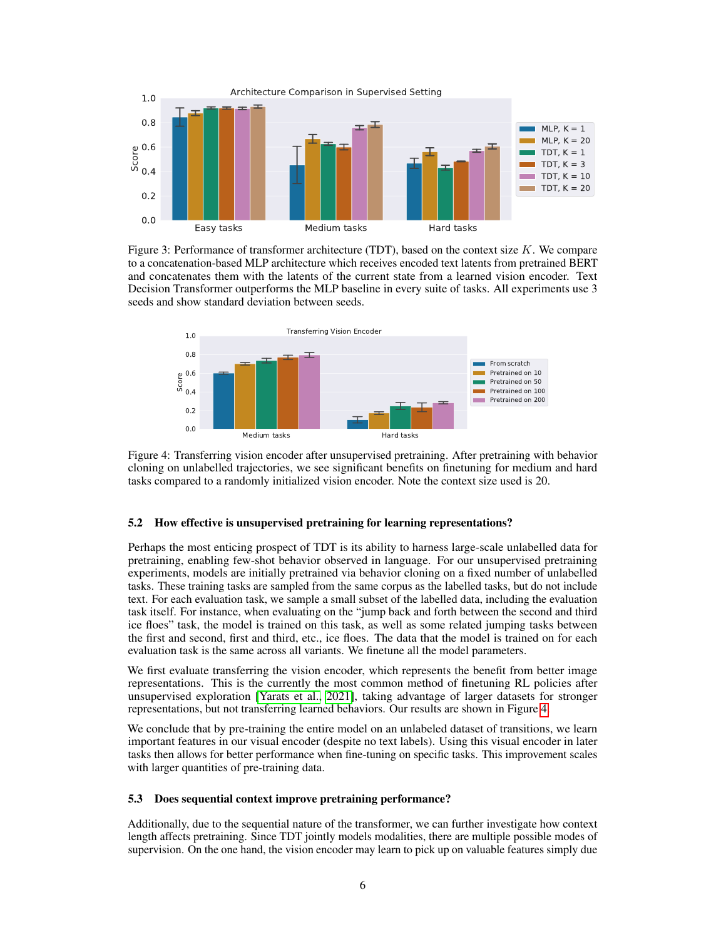<span id="page-5-0"></span>

Figure 3: Performance of transformer architecture (TDT), based on the context size  $K$ . We compare to a concatenation-based MLP architecture which receives encoded text latents from pretrained BERT and concatenates them with the latents of the current state from a learned vision encoder. Text Decision Transformer outperforms the MLP baseline in every suite of tasks. All experiments use 3 seeds and show standard deviation between seeds.

<span id="page-5-1"></span>

Figure 4: Transferring vision encoder after unsupervised pretraining. After pretraining with behavior cloning on unlabelled trajectories, we see significant benefits on finetuning for medium and hard tasks compared to a randomly initialized vision encoder. Note the context size used is 20.

#### 5.2 How effective is unsupervised pretraining for learning representations?

Perhaps the most enticing prospect of TDT is its ability to harness large-scale unlabelled data for pretraining, enabling few-shot behavior observed in language. For our unsupervised pretraining experiments, models are initially pretrained via behavior cloning on a fixed number of unlabelled tasks. These training tasks are sampled from the same corpus as the labelled tasks, but do not include text. For each evaluation task, we sample a small subset of the labelled data, including the evaluation task itself. For instance, when evaluating on the "jump back and forth between the second and third ice floes" task, the model is trained on this task, as well as some related jumping tasks between the first and second, first and third, etc., ice floes. The data that the model is trained on for each evaluation task is the same across all variants. We finetune all the model parameters.

We first evaluate transferring the vision encoder, which represents the benefit from better image representations. This is the currently the most common method of finetuning RL policies after unsupervised exploration [\[Yarats et al., 2021\]](#page-9-7), taking advantage of larger datasets for stronger representations, but not transferring learned behaviors. Our results are shown in Figure [4.](#page-5-1)

We conclude that by pre-training the entire model on an unlabeled dataset of transitions, we learn important features in our visual encoder (despite no text labels). Using this visual encoder in later tasks then allows for better performance when fine-tuning on specific tasks. This improvement scales with larger quantities of pre-training data.

#### 5.3 Does sequential context improve pretraining performance?

Additionally, due to the sequential nature of the transformer, we can further investigate how context length affects pretraining. Since TDT jointly models modalities, there are multiple possible modes of supervision. On the one hand, the vision encoder may learn to pick up on valuable features simply due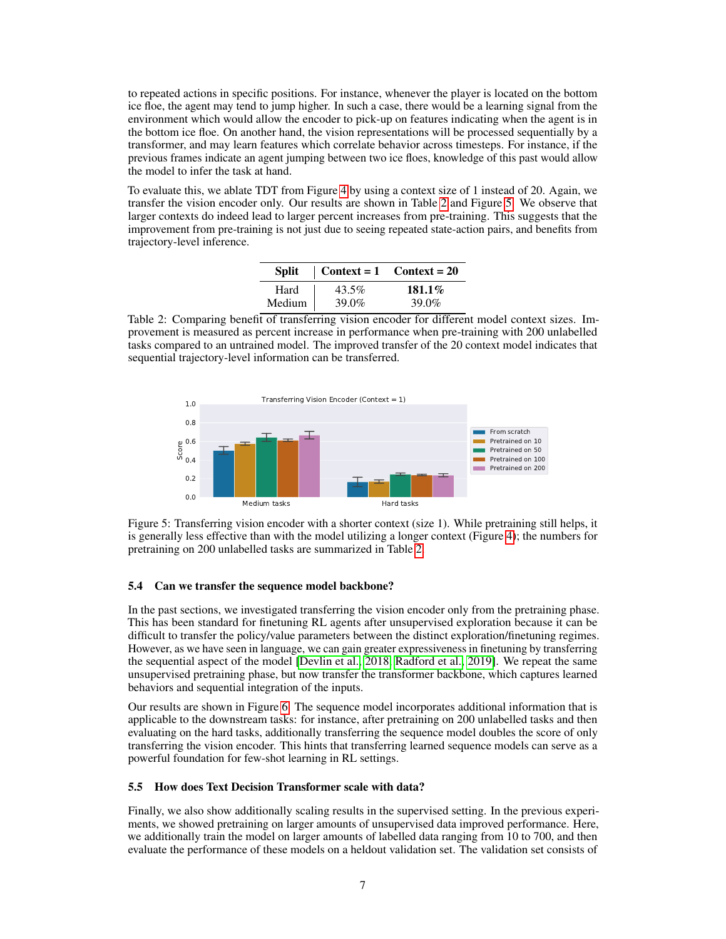to repeated actions in specific positions. For instance, whenever the player is located on the bottom ice floe, the agent may tend to jump higher. In such a case, there would be a learning signal from the environment which would allow the encoder to pick-up on features indicating when the agent is in the bottom ice floe. On another hand, the vision representations will be processed sequentially by a transformer, and may learn features which correlate behavior across timesteps. For instance, if the previous frames indicate an agent jumping between two ice floes, knowledge of this past would allow the model to infer the task at hand.

To evaluate this, we ablate TDT from Figure [4](#page-5-1) by using a context size of 1 instead of 20. Again, we transfer the vision encoder only. Our results are shown in Table [2](#page-6-0) and Figure [5.](#page-6-1) We observe that larger contexts do indeed lead to larger percent increases from pre-training. This suggests that the improvement from pre-training is not just due to seeing repeated state-action pairs, and benefits from trajectory-level inference.

| Split  |          | $\vert$ Context = 1 Context = 20 |
|--------|----------|----------------------------------|
| Hard   | $43.5\%$ | $181.1\%$                        |
| Medium | 39.0%    | 39.0%                            |

<span id="page-6-0"></span>Table 2: Comparing benefit of transferring vision encoder for different model context sizes. Improvement is measured as percent increase in performance when pre-training with 200 unlabelled tasks compared to an untrained model. The improved transfer of the 20 context model indicates that sequential trajectory-level information can be transferred.

<span id="page-6-1"></span>

Figure 5: Transferring vision encoder with a shorter context (size 1). While pretraining still helps, it is generally less effective than with the model utilizing a longer context (Figure [4\)](#page-5-1); the numbers for pretraining on 200 unlabelled tasks are summarized in Table [2.](#page-6-0)

#### 5.4 Can we transfer the sequence model backbone?

In the past sections, we investigated transferring the vision encoder only from the pretraining phase. This has been standard for finetuning RL agents after unsupervised exploration because it can be difficult to transfer the policy/value parameters between the distinct exploration/finetuning regimes. However, as we have seen in language, we can gain greater expressiveness in finetuning by transferring the sequential aspect of the model [\[Devlin et al., 2018,](#page-9-3) [Radford et al., 2019\]](#page-9-4). We repeat the same unsupervised pretraining phase, but now transfer the transformer backbone, which captures learned behaviors and sequential integration of the inputs.

Our results are shown in Figure [6.](#page-7-0) The sequence model incorporates additional information that is applicable to the downstream tasks: for instance, after pretraining on 200 unlabelled tasks and then evaluating on the hard tasks, additionally transferring the sequence model doubles the score of only transferring the vision encoder. This hints that transferring learned sequence models can serve as a powerful foundation for few-shot learning in RL settings.

#### 5.5 How does Text Decision Transformer scale with data?

Finally, we also show additionally scaling results in the supervised setting. In the previous experiments, we showed pretraining on larger amounts of unsupervised data improved performance. Here, we additionally train the model on larger amounts of labelled data ranging from 10 to 700, and then evaluate the performance of these models on a heldout validation set. The validation set consists of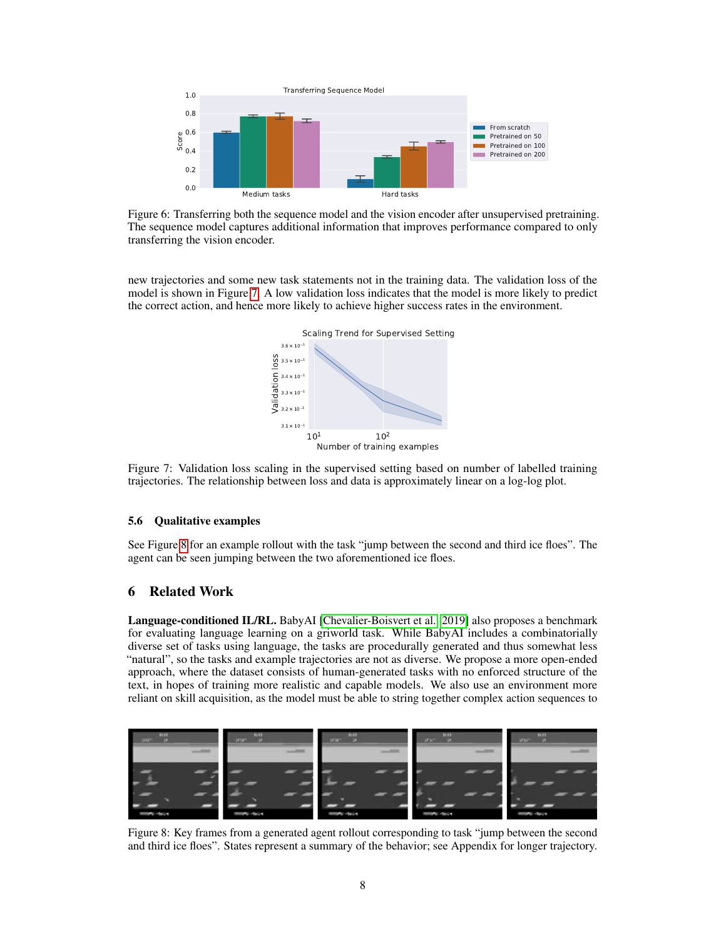<span id="page-7-0"></span>

Figure 6: Transferring both the sequence model and the vision encoder after unsupervised pretraining. The sequence model captures additional information that improves performance compared to only transferring the vision encoder.

<span id="page-7-1"></span>new trajectories and some new task statements not in the training data. The validation loss of the model is shown in Figure [7.](#page-7-1) A low validation loss indicates that the model is more likely to predict the correct action, and hence more likely to achieve higher success rates in the environment.



Figure 7: Validation loss scaling in the supervised setting based on number of labelled training trajectories. The relationship between loss and data is approximately linear on a log-log plot.

## 5.6 Qualitative examples

See Figure [8](#page-7-2) for an example rollout with the task "jump between the second and third ice floes". The agent can be seen jumping between the two aforementioned ice floes.

## 6 Related Work

Language-conditioned IL/RL. BabyAI [\[Chevalier-Boisvert et al., 2019\]](#page-9-10) also proposes a benchmark for evaluating language learning on a griworld task. While BabyAI includes a combinatorially diverse set of tasks using language, the tasks are procedurally generated and thus somewhat less "natural", so the tasks and example trajectories are not as diverse. We propose a more open-ended approach, where the dataset consists of human-generated tasks with no enforced structure of the text, in hopes of training more realistic and capable models. We also use an environment more reliant on skill acquisition, as the model must be able to string together complex action sequences to

<span id="page-7-2"></span>

Figure 8: Key frames from a generated agent rollout corresponding to task "jump between the second and third ice floes". States represent a summary of the behavior; see Appendix for longer trajectory.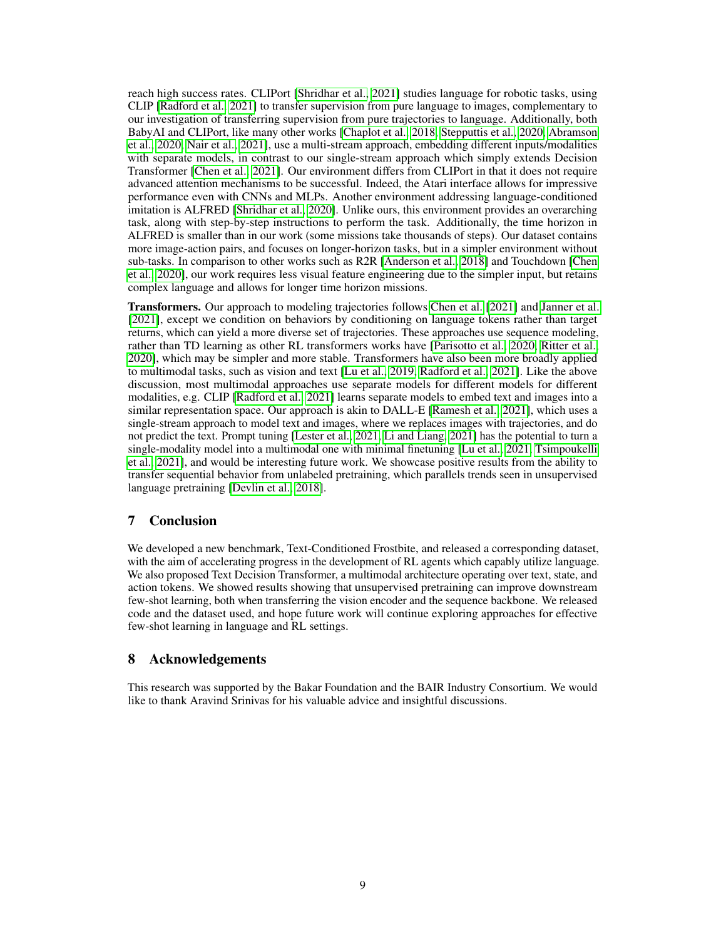reach high success rates. CLIPort [\[Shridhar et al., 2021\]](#page-9-11) studies language for robotic tasks, using CLIP [\[Radford et al., 2021\]](#page-9-12) to transfer supervision from pure language to images, complementary to our investigation of transferring supervision from pure trajectories to language. Additionally, both BabyAI and CLIPort, like many other works [\[Chaplot et al., 2018,](#page-9-13) [Stepputtis et al., 2020,](#page-9-14) [Abramson](#page-9-15) [et al., 2020,](#page-9-15) [Nair et al., 2021\]](#page-9-16), use a multi-stream approach, embedding different inputs/modalities with separate models, in contrast to our single-stream approach which simply extends Decision Transformer [\[Chen et al., 2021\]](#page-9-1). Our environment differs from CLIPort in that it does not require advanced attention mechanisms to be successful. Indeed, the Atari interface allows for impressive performance even with CNNs and MLPs. Another environment addressing language-conditioned imitation is ALFRED [\[Shridhar et al., 2020\]](#page-10-0). Unlike ours, this environment provides an overarching task, along with step-by-step instructions to perform the task. Additionally, the time horizon in ALFRED is smaller than in our work (some missions take thousands of steps). Our dataset contains more image-action pairs, and focuses on longer-horizon tasks, but in a simpler environment without sub-tasks. In comparison to other works such as R2R [\[Anderson et al., 2018\]](#page-10-1) and Touchdown [\[Chen](#page-10-2) [et al., 2020\]](#page-10-2), our work requires less visual feature engineering due to the simpler input, but retains complex language and allows for longer time horizon missions.

Transformers. Our approach to modeling trajectories follows [Chen et al.](#page-9-1) [\[2021\]](#page-9-1) and [Janner et al.](#page-9-2) [\[2021\]](#page-9-2), except we condition on behaviors by conditioning on language tokens rather than target returns, which can yield a more diverse set of trajectories. These approaches use sequence modeling, rather than TD learning as other RL transformers works have [\[Parisotto et al., 2020,](#page-10-3) [Ritter et al.,](#page-10-4) [2020\]](#page-10-4), which may be simpler and more stable. Transformers have also been more broadly applied to multimodal tasks, such as vision and text [\[Lu et al., 2019,](#page-10-5) [Radford et al., 2021\]](#page-9-12). Like the above discussion, most multimodal approaches use separate models for different models for different modalities, e.g. CLIP [\[Radford et al., 2021\]](#page-9-12) learns separate models to embed text and images into a similar representation space. Our approach is akin to DALL-E [\[Ramesh et al., 2021\]](#page-10-6), which uses a single-stream approach to model text and images, where we replaces images with trajectories, and do not predict the text. Prompt tuning [\[Lester et al., 2021,](#page-10-7) [Li and Liang, 2021\]](#page-10-8) has the potential to turn a single-modality model into a multimodal one with minimal finetuning [\[Lu et al., 2021,](#page-10-9) [Tsimpoukelli](#page-10-10) [et al., 2021\]](#page-10-10), and would be interesting future work. We showcase positive results from the ability to transfer sequential behavior from unlabeled pretraining, which parallels trends seen in unsupervised language pretraining [\[Devlin et al., 2018\]](#page-9-3).

# 7 Conclusion

We developed a new benchmark, Text-Conditioned Frostbite, and released a corresponding dataset, with the aim of accelerating progress in the development of RL agents which capably utilize language. We also proposed Text Decision Transformer, a multimodal architecture operating over text, state, and action tokens. We showed results showing that unsupervised pretraining can improve downstream few-shot learning, both when transferring the vision encoder and the sequence backbone. We released code and the dataset used, and hope future work will continue exploring approaches for effective few-shot learning in language and RL settings.

# 8 Acknowledgements

This research was supported by the Bakar Foundation and the BAIR Industry Consortium. We would like to thank Aravind Srinivas for his valuable advice and insightful discussions.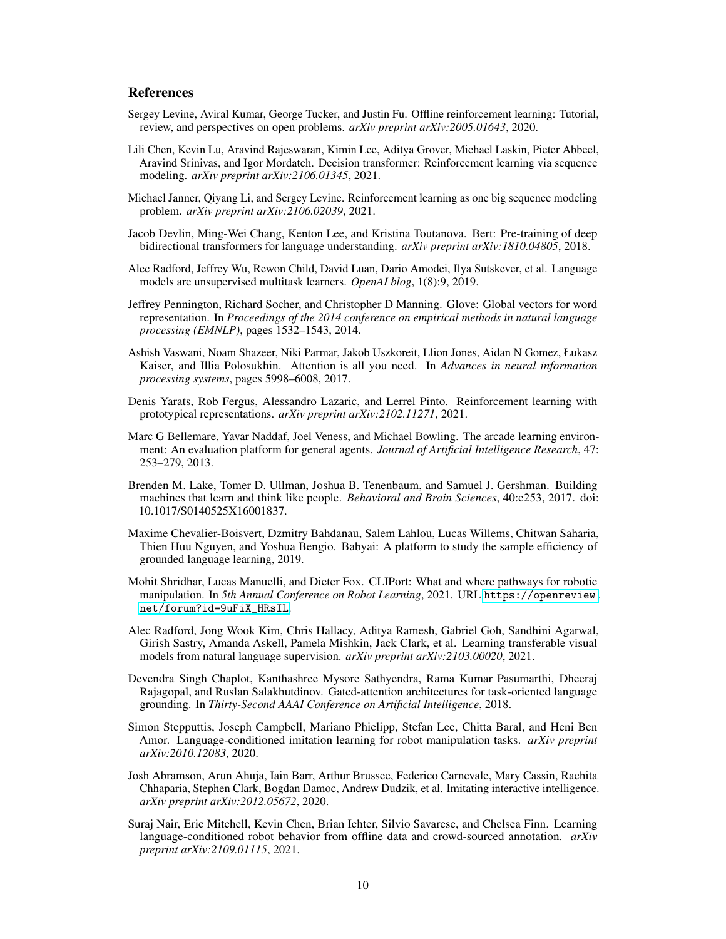# **References**

- <span id="page-9-0"></span>Sergey Levine, Aviral Kumar, George Tucker, and Justin Fu. Offline reinforcement learning: Tutorial, review, and perspectives on open problems. *arXiv preprint arXiv:2005.01643*, 2020.
- <span id="page-9-1"></span>Lili Chen, Kevin Lu, Aravind Rajeswaran, Kimin Lee, Aditya Grover, Michael Laskin, Pieter Abbeel, Aravind Srinivas, and Igor Mordatch. Decision transformer: Reinforcement learning via sequence modeling. *arXiv preprint arXiv:2106.01345*, 2021.
- <span id="page-9-2"></span>Michael Janner, Qiyang Li, and Sergey Levine. Reinforcement learning as one big sequence modeling problem. *arXiv preprint arXiv:2106.02039*, 2021.
- <span id="page-9-3"></span>Jacob Devlin, Ming-Wei Chang, Kenton Lee, and Kristina Toutanova. Bert: Pre-training of deep bidirectional transformers for language understanding. *arXiv preprint arXiv:1810.04805*, 2018.
- <span id="page-9-4"></span>Alec Radford, Jeffrey Wu, Rewon Child, David Luan, Dario Amodei, Ilya Sutskever, et al. Language models are unsupervised multitask learners. *OpenAI blog*, 1(8):9, 2019.
- <span id="page-9-5"></span>Jeffrey Pennington, Richard Socher, and Christopher D Manning. Glove: Global vectors for word representation. In *Proceedings of the 2014 conference on empirical methods in natural language processing (EMNLP)*, pages 1532–1543, 2014.
- <span id="page-9-6"></span>Ashish Vaswani, Noam Shazeer, Niki Parmar, Jakob Uszkoreit, Llion Jones, Aidan N Gomez, Łukasz Kaiser, and Illia Polosukhin. Attention is all you need. In *Advances in neural information processing systems*, pages 5998–6008, 2017.
- <span id="page-9-7"></span>Denis Yarats, Rob Fergus, Alessandro Lazaric, and Lerrel Pinto. Reinforcement learning with prototypical representations. *arXiv preprint arXiv:2102.11271*, 2021.
- <span id="page-9-8"></span>Marc G Bellemare, Yavar Naddaf, Joel Veness, and Michael Bowling. The arcade learning environment: An evaluation platform for general agents. *Journal of Artificial Intelligence Research*, 47: 253–279, 2013.
- <span id="page-9-9"></span>Brenden M. Lake, Tomer D. Ullman, Joshua B. Tenenbaum, and Samuel J. Gershman. Building machines that learn and think like people. *Behavioral and Brain Sciences*, 40:e253, 2017. doi: 10.1017/S0140525X16001837.
- <span id="page-9-10"></span>Maxime Chevalier-Boisvert, Dzmitry Bahdanau, Salem Lahlou, Lucas Willems, Chitwan Saharia, Thien Huu Nguyen, and Yoshua Bengio. Babyai: A platform to study the sample efficiency of grounded language learning, 2019.
- <span id="page-9-11"></span>Mohit Shridhar, Lucas Manuelli, and Dieter Fox. CLIPort: What and where pathways for robotic manipulation. In *5th Annual Conference on Robot Learning*, 2021. URL [https://openreview.](https://openreview.net/forum?id=9uFiX_HRsIL) [net/forum?id=9uFiX\\_HRsIL](https://openreview.net/forum?id=9uFiX_HRsIL).
- <span id="page-9-12"></span>Alec Radford, Jong Wook Kim, Chris Hallacy, Aditya Ramesh, Gabriel Goh, Sandhini Agarwal, Girish Sastry, Amanda Askell, Pamela Mishkin, Jack Clark, et al. Learning transferable visual models from natural language supervision. *arXiv preprint arXiv:2103.00020*, 2021.
- <span id="page-9-13"></span>Devendra Singh Chaplot, Kanthashree Mysore Sathyendra, Rama Kumar Pasumarthi, Dheeraj Rajagopal, and Ruslan Salakhutdinov. Gated-attention architectures for task-oriented language grounding. In *Thirty-Second AAAI Conference on Artificial Intelligence*, 2018.
- <span id="page-9-14"></span>Simon Stepputtis, Joseph Campbell, Mariano Phielipp, Stefan Lee, Chitta Baral, and Heni Ben Amor. Language-conditioned imitation learning for robot manipulation tasks. *arXiv preprint arXiv:2010.12083*, 2020.
- <span id="page-9-15"></span>Josh Abramson, Arun Ahuja, Iain Barr, Arthur Brussee, Federico Carnevale, Mary Cassin, Rachita Chhaparia, Stephen Clark, Bogdan Damoc, Andrew Dudzik, et al. Imitating interactive intelligence. *arXiv preprint arXiv:2012.05672*, 2020.
- <span id="page-9-16"></span>Suraj Nair, Eric Mitchell, Kevin Chen, Brian Ichter, Silvio Savarese, and Chelsea Finn. Learning language-conditioned robot behavior from offline data and crowd-sourced annotation. *arXiv preprint arXiv:2109.01115*, 2021.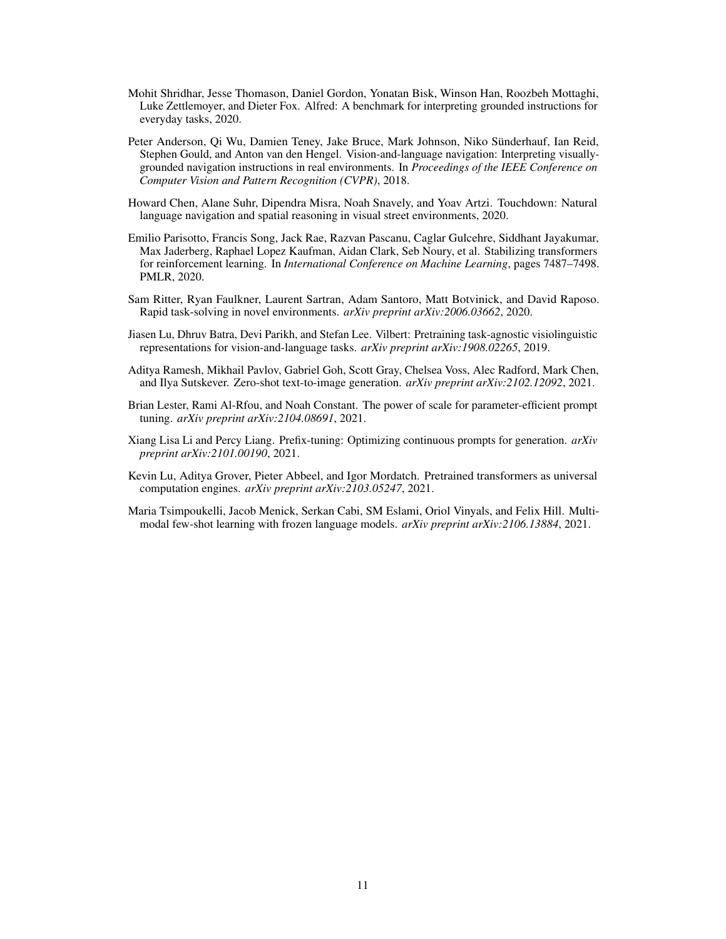- <span id="page-10-0"></span>Mohit Shridhar, Jesse Thomason, Daniel Gordon, Yonatan Bisk, Winson Han, Roozbeh Mottaghi, Luke Zettlemoyer, and Dieter Fox. Alfred: A benchmark for interpreting grounded instructions for everyday tasks, 2020.
- <span id="page-10-1"></span>Peter Anderson, Qi Wu, Damien Teney, Jake Bruce, Mark Johnson, Niko Sünderhauf, Ian Reid, Stephen Gould, and Anton van den Hengel. Vision-and-language navigation: Interpreting visuallygrounded navigation instructions in real environments. In *Proceedings of the IEEE Conference on Computer Vision and Pattern Recognition (CVPR)*, 2018.
- <span id="page-10-2"></span>Howard Chen, Alane Suhr, Dipendra Misra, Noah Snavely, and Yoav Artzi. Touchdown: Natural language navigation and spatial reasoning in visual street environments, 2020.
- <span id="page-10-3"></span>Emilio Parisotto, Francis Song, Jack Rae, Razvan Pascanu, Caglar Gulcehre, Siddhant Jayakumar, Max Jaderberg, Raphael Lopez Kaufman, Aidan Clark, Seb Noury, et al. Stabilizing transformers for reinforcement learning. In *International Conference on Machine Learning*, pages 7487–7498. PMLR, 2020.
- <span id="page-10-4"></span>Sam Ritter, Ryan Faulkner, Laurent Sartran, Adam Santoro, Matt Botvinick, and David Raposo. Rapid task-solving in novel environments. *arXiv preprint arXiv:2006.03662*, 2020.
- <span id="page-10-5"></span>Jiasen Lu, Dhruv Batra, Devi Parikh, and Stefan Lee. Vilbert: Pretraining task-agnostic visiolinguistic representations for vision-and-language tasks. *arXiv preprint arXiv:1908.02265*, 2019.
- <span id="page-10-6"></span>Aditya Ramesh, Mikhail Pavlov, Gabriel Goh, Scott Gray, Chelsea Voss, Alec Radford, Mark Chen, and Ilya Sutskever. Zero-shot text-to-image generation. *arXiv preprint arXiv:2102.12092*, 2021.
- <span id="page-10-7"></span>Brian Lester, Rami Al-Rfou, and Noah Constant. The power of scale for parameter-efficient prompt tuning. *arXiv preprint arXiv:2104.08691*, 2021.
- <span id="page-10-8"></span>Xiang Lisa Li and Percy Liang. Prefix-tuning: Optimizing continuous prompts for generation. *arXiv preprint arXiv:2101.00190*, 2021.
- <span id="page-10-9"></span>Kevin Lu, Aditya Grover, Pieter Abbeel, and Igor Mordatch. Pretrained transformers as universal computation engines. *arXiv preprint arXiv:2103.05247*, 2021.
- <span id="page-10-10"></span>Maria Tsimpoukelli, Jacob Menick, Serkan Cabi, SM Eslami, Oriol Vinyals, and Felix Hill. Multimodal few-shot learning with frozen language models. *arXiv preprint arXiv:2106.13884*, 2021.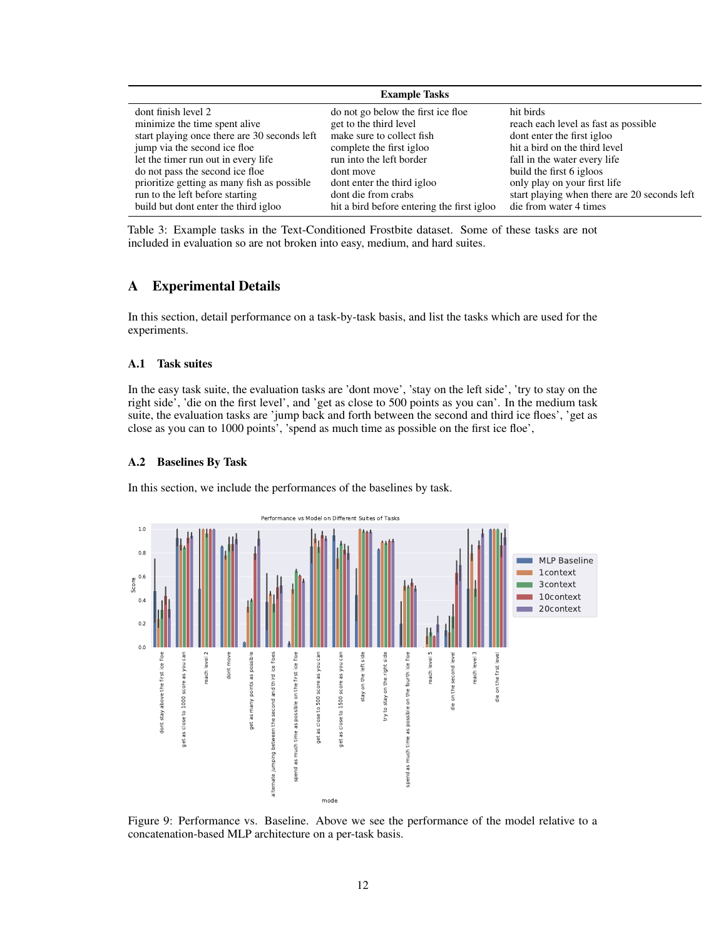<span id="page-11-0"></span>

| <b>Example Tasks</b>                         |                                            |                                              |  |  |  |
|----------------------------------------------|--------------------------------------------|----------------------------------------------|--|--|--|
| dont finish level 2                          | do not go below the first ice floe.        | hit birds                                    |  |  |  |
| minimize the time spent alive                | get to the third level                     | reach each level as fast as possible         |  |  |  |
| start playing once there are 30 seconds left | make sure to collect fish                  | dont enter the first igloo                   |  |  |  |
| jump via the second ice floe.                | complete the first igloo                   | hit a bird on the third level                |  |  |  |
| let the timer run out in every life          | run into the left border                   | fall in the water every life                 |  |  |  |
| do not pass the second ice floe              | dont move                                  | build the first 6 igloos                     |  |  |  |
| prioritize getting as many fish as possible  | dont enter the third igloo                 | only play on your first life                 |  |  |  |
| run to the left before starting              | dont die from crabs                        | start playing when there are 20 seconds left |  |  |  |
| build but dont enter the third igloo         | hit a bird before entering the first igloo | die from water 4 times                       |  |  |  |

Table 3: Example tasks in the Text-Conditioned Frostbite dataset. Some of these tasks are not included in evaluation so are not broken into easy, medium, and hard suites.

# A Experimental Details

In this section, detail performance on a task-by-task basis, and list the tasks which are used for the experiments.

## A.1 Task suites

In the easy task suite, the evaluation tasks are 'dont move', 'stay on the left side', 'try to stay on the right side', 'die on the first level', and 'get as close to 500 points as you can'. In the medium task suite, the evaluation tasks are 'jump back and forth between the second and third ice floes', 'get as close as you can to 1000 points', 'spend as much time as possible on the first ice floe',

## A.2 Baselines By Task

In this section, we include the performances of the baselines by task.



Figure 9: Performance vs. Baseline. Above we see the performance of the model relative to a concatenation-based MLP architecture on a per-task basis.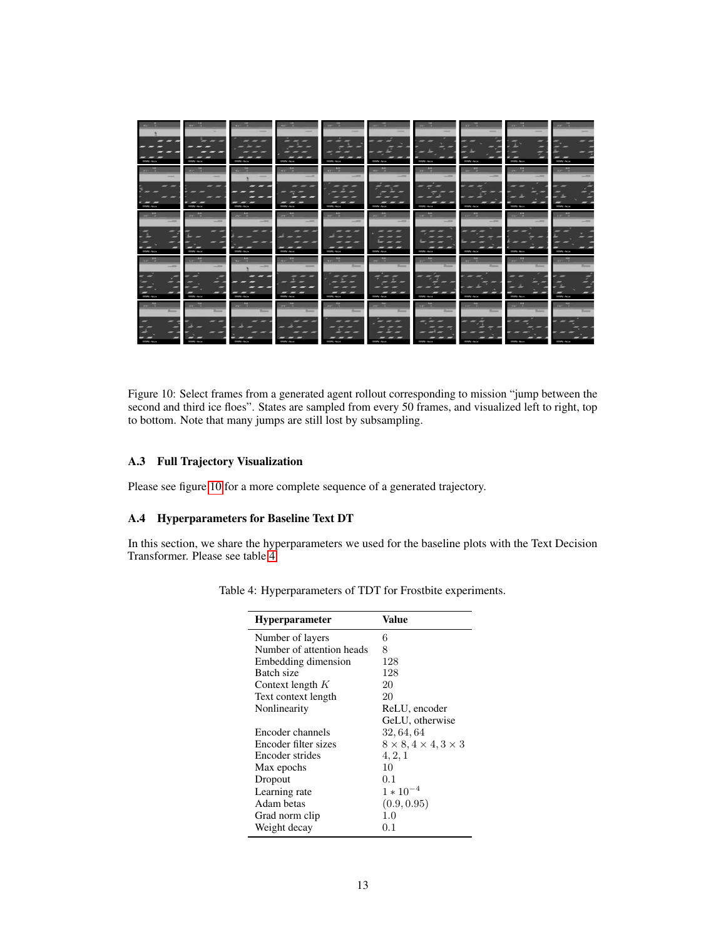<span id="page-12-0"></span>

|                                                              | $-44 - 11$<br>Į                                  | $-43^\circ$ $-11$<br><b>STATISTICS</b> | $-40^\circ$<br>ļ                     | <b>STATISTICS</b>                   | and a<br><b>STATISTICS</b>                | <b>STATISTICS</b>                            | and a<br><b>CONTRACTOR</b>                                | $3887 - 38$<br><b>STATISTICS</b>                                                                                                                                                                                                                              | promised the<br><b>STATE AND</b>      |
|--------------------------------------------------------------|--------------------------------------------------|----------------------------------------|--------------------------------------|-------------------------------------|-------------------------------------------|----------------------------------------------|-----------------------------------------------------------|---------------------------------------------------------------------------------------------------------------------------------------------------------------------------------------------------------------------------------------------------------------|---------------------------------------|
| and a                                                        | and all<br><b>The Asset</b>                      | $-45o = 36$                            | ar Mill<br><b>Service</b>            | <b>BILL</b><br><b>APRIL</b><br>$-$  | <b>ABY ABY</b><br>$-$                     | <b>ALL</b><br>and a                          | <b>TRIP</b><br>and the<br>-<br><b>CONTRACTOR</b>          | $\overline{m}$<br>$-145$<br><b>CONTRACTOR</b>                                                                                                                                                                                                                 | an <sup>hi</sup><br><b>CONTRACTOR</b> |
| <b>Service Service</b>                                       | $-20$<br>$-$<br><b>CONTRACT</b>                  | <b>Service Service</b>                 | $10 - 10$<br><b>STATISTICS</b>       | por pi<br>Į                         | war hit<br>$-$<br><b>CONTRACTOR</b>       | $1 - \frac{10}{2}$<br><b>Service Service</b> | $10^{10}$ $\frac{100}{10}$<br><b>STATISTICS</b>           | The Rig<br>į                                                                                                                                                                                                                                                  | <b>Tar Mill</b><br><b>STATISTICS</b>  |
| <b>Tary 19</b><br>--<br><b>STATISTICS</b>                    | <b>The Rift</b><br>$-$<br>-<br><b>STATISTICS</b> | $-1$<br><b>CONTRACTOR</b>              | $-400 - 1$<br>_<br><b>CONTRACTOR</b> | $-412 - 1$<br><b>CONTRACTOR</b>     | <b>THE R. P.</b><br>╾<br><b>STATE AND</b> | and it<br><b>STATE AND</b>                   | <b>STATE IN CASE</b><br><b>Barnet</b><br><b>STATE AND</b> | <b>STEP 10</b><br><b>Service Street</b>                                                                                                                                                                                                                       | $111 - 1$<br><b>STATE AND</b>         |
| $200 - \frac{100}{3}$<br><b>Service</b><br><b>CONTRACTOR</b> | $200 - \frac{1}{20}$<br>Ē<br><b>CONTRACTOR</b>   | <b>When II</b>                         | <b>DAY TO BE</b><br><b>Bank</b>      | part 11<br>$\overline{\phantom{a}}$ | page 1<br>ـــ                             | and Mar<br><b>STATISTICS</b>                 | $10^{10}$ $\frac{10^{10}}{1}$<br>ـــ<br><b>STATISTICS</b> | <b>The Contract of the Contract of the Contract of the Contract of the Contract of the Contract of the Contract of the Contract of the Contract of the Contract of the Contract of the Contract of the Contract of the Contract </b><br>-<br><b>STATE AND</b> | <b>The T</b><br><b>STATE AND</b>      |

Figure 10: Select frames from a generated agent rollout corresponding to mission "jump between the second and third ice floes". States are sampled from every 50 frames, and visualized left to right, top to bottom. Note that many jumps are still lost by subsampling.

# A.3 Full Trajectory Visualization

Please see figure [10](#page-12-0) for a more complete sequence of a generated trajectory.

# A.4 Hyperparameters for Baseline Text DT

<span id="page-12-1"></span>In this section, we share the hyperparameters we used for the baseline plots with the Text Decision Transformer. Please see table [4](#page-12-1)

| <b>Hyperparameter</b>     | Value                                |
|---------------------------|--------------------------------------|
| Number of layers          | 6                                    |
| Number of attention heads | 8                                    |
| Embedding dimension       | 128                                  |
| Batch size                | 128                                  |
| Context length $K$        | 20                                   |
| Text context length       | 20                                   |
| Nonlinearity              | ReLU, encoder                        |
|                           | GeLU, otherwise                      |
| Encoder channels          | 32, 64, 64                           |
| Encoder filter sizes      | $8 \times 8, 4 \times 4, 3 \times 3$ |
| Encoder strides           | 4, 2, 1                              |
| Max epochs                | 10                                   |
| Dropout                   | 0.1                                  |
| Learning rate             | $1 * 10^{-4}$                        |
| Adam betas                | (0.9, 0.95)                          |
| Grad norm clip            | 1.0                                  |
| Weight decay              | 0.1                                  |

Table 4: Hyperparameters of TDT for Frostbite experiments.